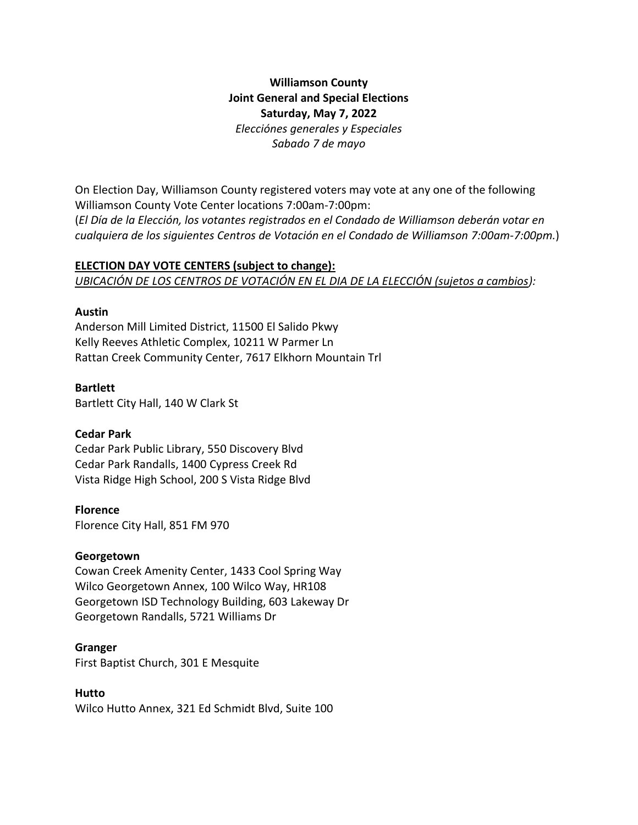# **Williamson County Joint General and Special Elections Saturday, May 7, 2022** *Elecciónes generales y Especiales Sabado 7 de mayo*

On Election Day, Williamson County registered voters may vote at any one of the following Williamson County Vote Center locations 7:00am-7:00pm: (*El Día de la Elección, los votantes registrados en el Condado de Williamson deberán votar en cualquiera de los siguientes Centros de Votación en el Condado de Williamson 7:00am-7:00pm.*)

# **ELECTION DAY VOTE CENTERS (subject to change):**

*UBICACIÓN DE LOS CENTROS DE VOTACIÓN EN EL DIA DE LA ELECCIÓN (sujetos a cambios):*

## **Austin**

Anderson Mill Limited District, 11500 El Salido Pkwy Kelly Reeves Athletic Complex, 10211 W Parmer Ln Rattan Creek Community Center, 7617 Elkhorn Mountain Trl

## **Bartlett**

Bartlett City Hall, 140 W Clark St

# **Cedar Park**

Cedar Park Public Library, 550 Discovery Blvd Cedar Park Randalls, 1400 Cypress Creek Rd Vista Ridge High School, 200 S Vista Ridge Blvd

# **Florence**

Florence City Hall, 851 FM 970

# **Georgetown**

Cowan Creek Amenity Center, 1433 Cool Spring Way Wilco Georgetown Annex, 100 Wilco Way, HR108 Georgetown ISD Technology Building, 603 Lakeway Dr Georgetown Randalls, 5721 Williams Dr

#### **Granger**

First Baptist Church, 301 E Mesquite

# **Hutto**

Wilco Hutto Annex, 321 Ed Schmidt Blvd, Suite 100